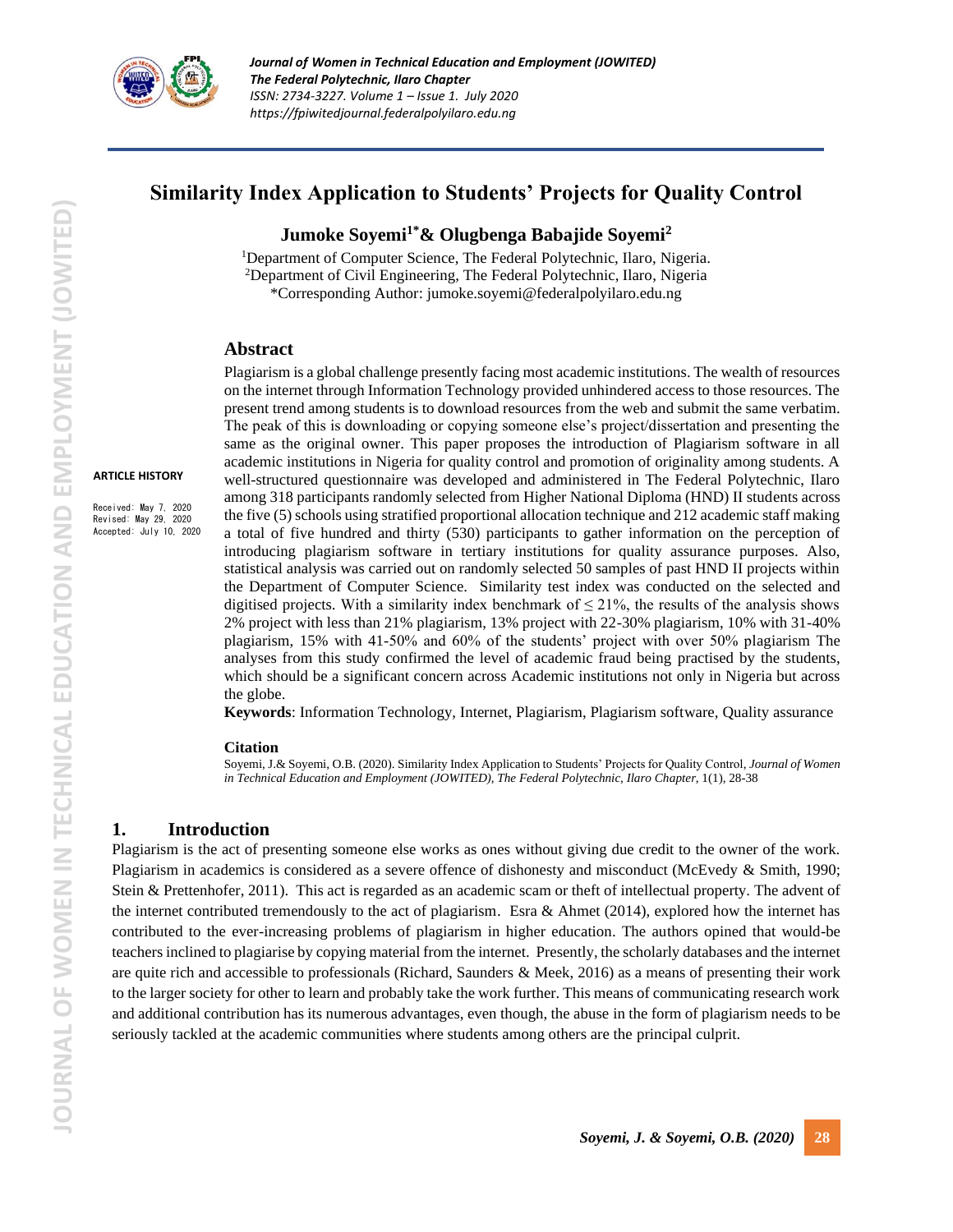

# **Similarity Index Application to Students' Projects for Quality Control**

# **Jumoke Soyemi1\*& Olugbenga Babajide Soyemi<sup>2</sup>**

<sup>1</sup>Department of Computer Science, The Federal Polytechnic, Ilaro, Nigeria. <sup>2</sup>Department of Civil Engineering, The Federal Polytechnic, Ilaro, Nigeria \*Corresponding Author: jumoke.soyemi@federalpolyilaro.edu.ng

#### **Abstract**

#### **ARTICLE HISTORY**

Received: May 7, 2020 Revised: May 29, 2020 Accepted: July 10, 2020

Plagiarism is a global challenge presently facing most academic institutions. The wealth of resources on the internet through Information Technology provided unhindered access to those resources. The present trend among students is to download resources from the web and submit the same verbatim. The peak of this is downloading or copying someone else's project/dissertation and presenting the same as the original owner. This paper proposes the introduction of Plagiarism software in all academic institutions in Nigeria for quality control and promotion of originality among students. A well-structured questionnaire was developed and administered in The Federal Polytechnic, Ilaro among 318 participants randomly selected from Higher National Diploma (HND) II students across the five (5) schools using stratified proportional allocation technique and 212 academic staff making a total of five hundred and thirty (530) participants to gather information on the perception of introducing plagiarism software in tertiary institutions for quality assurance purposes. Also, statistical analysis was carried out on randomly selected 50 samples of past HND II projects within the Department of Computer Science. Similarity test index was conducted on the selected and digitised projects. With a similarity index benchmark of  $\leq$  21%, the results of the analysis shows 2% project with less than 21% plagiarism, 13% project with 22-30% plagiarism, 10% with 31-40% plagiarism, 15% with 41-50% and 60% of the students' project with over 50% plagiarism The analyses from this study confirmed the level of academic fraud being practised by the students, which should be a significant concern across Academic institutions not only in Nigeria but across the globe.

**Keywords**: Information Technology, Internet, Plagiarism, Plagiarism software, Quality assurance

#### **Citation**

Soyemi, J.& Soyemi, O.B. (2020). Similarity Index Application to Students' Projects for Quality Control, *Journal of Women in Technical Education and Employment (JOWITED), The Federal Polytechnic, Ilaro Chapter*, 1(1), 28-38

# **1. Introduction**

Plagiarism is the act of presenting someone else works as ones without giving due credit to the owner of the work. Plagiarism in academics is considered as a severe offence of dishonesty and misconduct (McEvedy & Smith, 1990; Stein & Prettenhofer, 2011). This act is regarded as an academic scam or theft of intellectual property. The advent of the internet contributed tremendously to the act of plagiarism. Esra & Ahmet (2014), explored how the internet has contributed to the ever-increasing problems of plagiarism in higher education. The authors opined that would-be teachers inclined to plagiarise by copying material from the internet. Presently, the scholarly databases and the internet are quite rich and accessible to professionals (Richard, Saunders & Meek, 2016) as a means of presenting their work to the larger society for other to learn and probably take the work further. This means of communicating research work and additional contribution has its numerous advantages, even though, the abuse in the form of plagiarism needs to be seriously tackled at the academic communities where students among others are the principal culprit.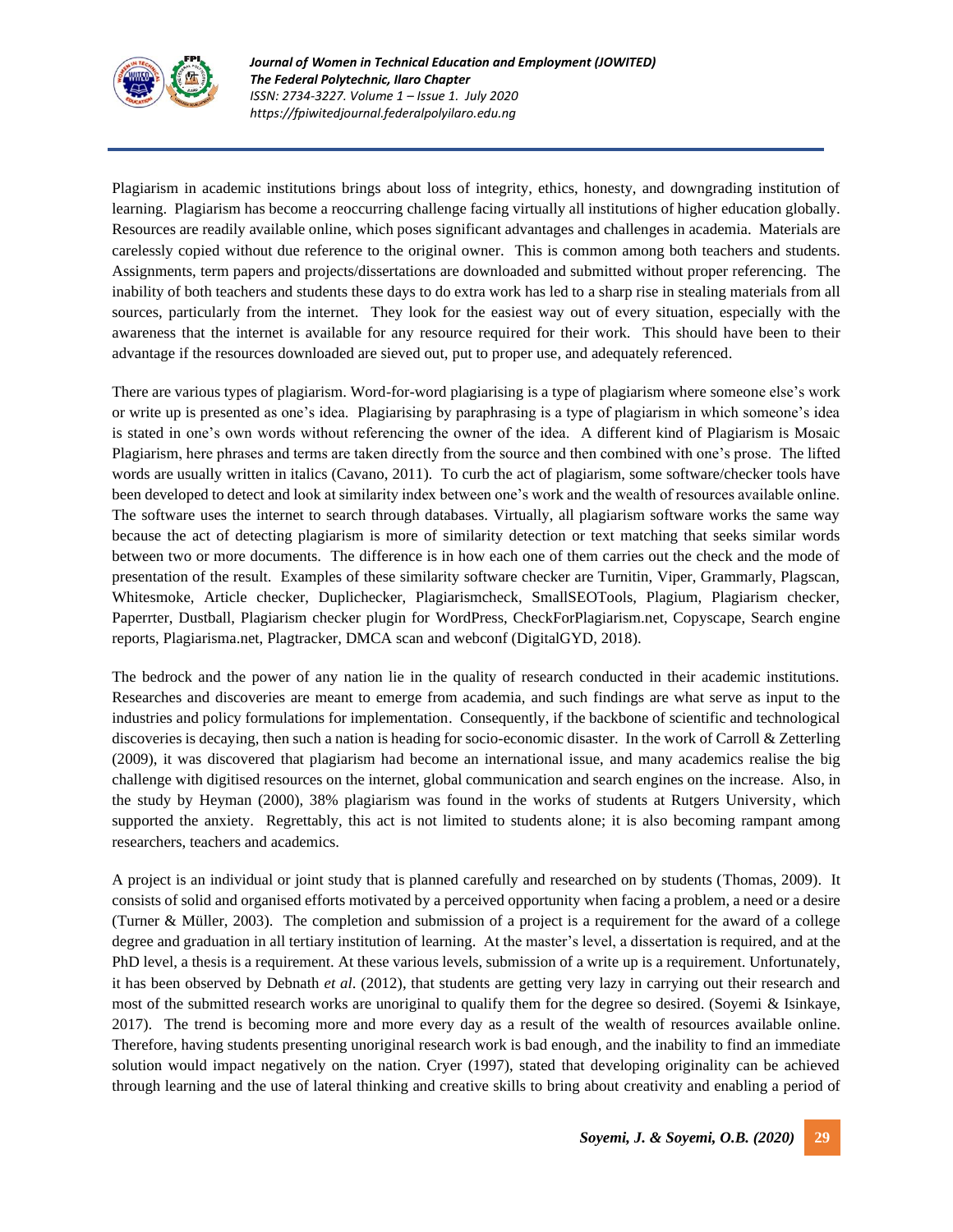

Plagiarism in academic institutions brings about loss of integrity, ethics, honesty, and downgrading institution of learning. Plagiarism has become a reoccurring challenge facing virtually all institutions of higher education globally. Resources are readily available online, which poses significant advantages and challenges in academia. Materials are carelessly copied without due reference to the original owner. This is common among both teachers and students. Assignments, term papers and projects/dissertations are downloaded and submitted without proper referencing. The inability of both teachers and students these days to do extra work has led to a sharp rise in stealing materials from all sources, particularly from the internet. They look for the easiest way out of every situation, especially with the awareness that the internet is available for any resource required for their work. This should have been to their advantage if the resources downloaded are sieved out, put to proper use, and adequately referenced.

There are various types of plagiarism. Word-for-word plagiarising is a type of plagiarism where someone else's work or write up is presented as one's idea. Plagiarising by paraphrasing is a type of plagiarism in which someone's idea is stated in one's own words without referencing the owner of the idea. A different kind of Plagiarism is Mosaic Plagiarism, here phrases and terms are taken directly from the source and then combined with one's prose. The lifted words are usually written in italics (Cavano, 2011). To curb the act of plagiarism, some software/checker tools have been developed to detect and look at similarity index between one's work and the wealth of resources available online. The software uses the internet to search through databases. Virtually, all plagiarism software works the same way because the act of detecting plagiarism is more of similarity detection or text matching that seeks similar words between two or more documents. The difference is in how each one of them carries out the check and the mode of presentation of the result. Examples of these similarity software checker are Turnitin, Viper, Grammarly, Plagscan, Whitesmoke, Article checker, Duplichecker, Plagiarismcheck, SmallSEOTools, Plagium, Plagiarism checker, Paperrter, Dustball, Plagiarism checker plugin for WordPress, CheckForPlagiarism.net, Copyscape, Search engine reports, Plagiarisma.net, Plagtracker, DMCA scan and webconf (DigitalGYD, 2018).

The bedrock and the power of any nation lie in the quality of research conducted in their academic institutions. Researches and discoveries are meant to emerge from academia, and such findings are what serve as input to the industries and policy formulations for implementation. Consequently, if the backbone of scientific and technological discoveries is decaying, then such a nation is heading for socio-economic disaster. In the work of Carroll & Zetterling (2009), it was discovered that plagiarism had become an international issue, and many academics realise the big challenge with digitised resources on the internet, global communication and search engines on the increase. Also, in the study by Heyman (2000), 38% plagiarism was found in the works of students at Rutgers University, which supported the anxiety. Regrettably, this act is not limited to students alone; it is also becoming rampant among researchers, teachers and academics.

A project is an individual or joint study that is planned carefully and researched on by students (Thomas, 2009). It consists of solid and organised efforts motivated by a perceived opportunity when facing a problem, a need or a desire (Turner & Müller, 2003). The completion and submission of a project is a requirement for the award of a college degree and graduation in all tertiary institution of learning. At the master's level, a dissertation is required, and at the PhD level, a thesis is a requirement. At these various levels, submission of a write up is a requirement. Unfortunately, it has been observed by Debnath *et al*. (2012), that students are getting very lazy in carrying out their research and most of the submitted research works are unoriginal to qualify them for the degree so desired. (Soyemi & Isinkaye, 2017). The trend is becoming more and more every day as a result of the wealth of resources available online. Therefore, having students presenting unoriginal research work is bad enough, and the inability to find an immediate solution would impact negatively on the nation. Cryer (1997), stated that developing originality can be achieved through learning and the use of lateral thinking and creative skills to bring about creativity and enabling a period of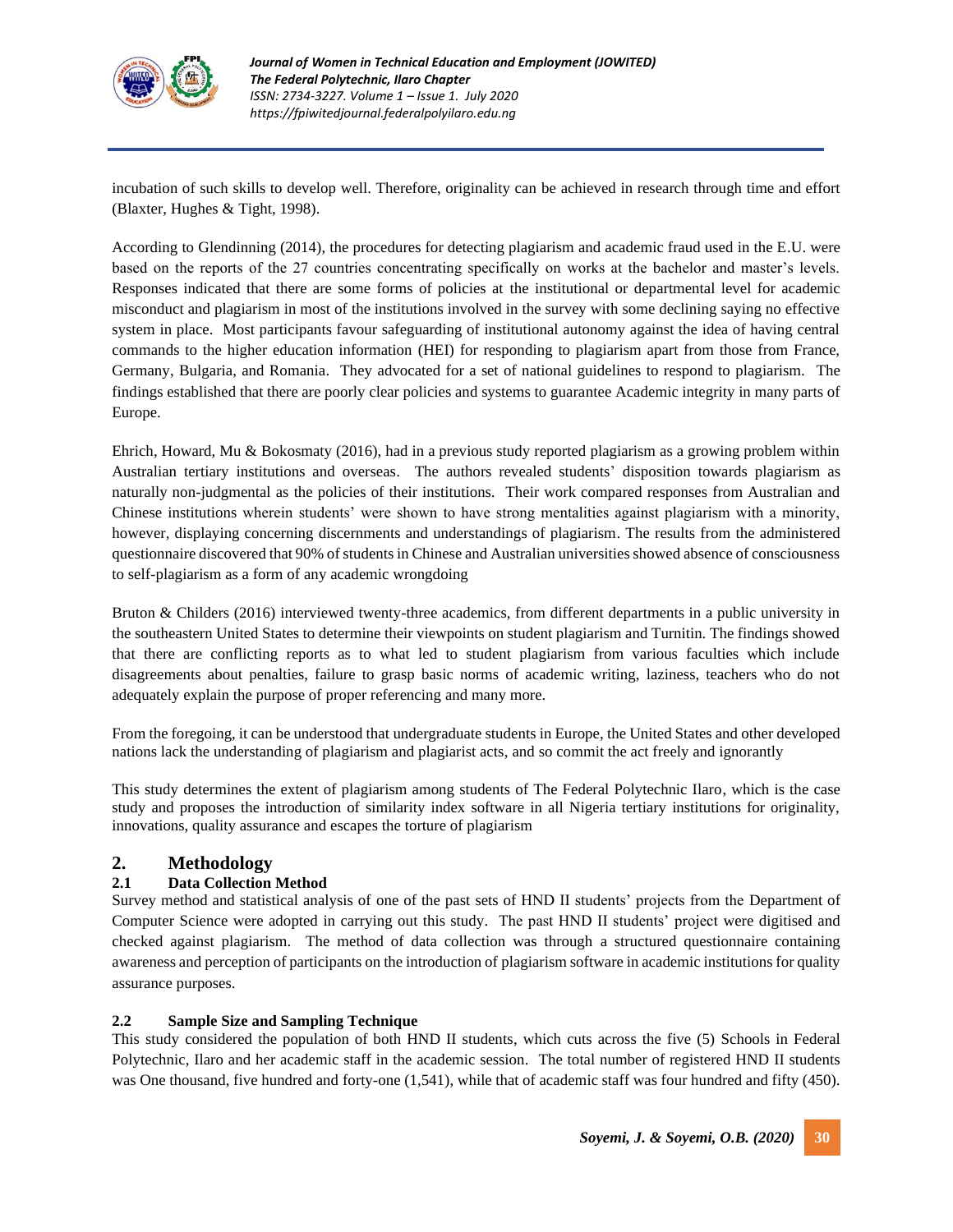

incubation of such skills to develop well. Therefore, originality can be achieved in research through time and effort (Blaxter, Hughes & Tight, 1998).

According to Glendinning (2014), the procedures for detecting plagiarism and academic fraud used in the E.U. were based on the reports of the 27 countries concentrating specifically on works at the bachelor and master's levels. Responses indicated that there are some forms of policies at the institutional or departmental level for academic misconduct and plagiarism in most of the institutions involved in the survey with some declining saying no effective system in place. Most participants favour safeguarding of institutional autonomy against the idea of having central commands to the higher education information (HEI) for responding to plagiarism apart from those from France, Germany, Bulgaria, and Romania. They advocated for a set of national guidelines to respond to plagiarism. The findings established that there are poorly clear policies and systems to guarantee Academic integrity in many parts of Europe.

Ehrich, Howard, Mu & Bokosmaty (2016), had in a previous study reported plagiarism as a growing problem within Australian tertiary institutions and overseas. The authors revealed students' disposition towards plagiarism as naturally non-judgmental as the policies of their institutions. Their work compared responses from Australian and Chinese institutions wherein students' were shown to have strong mentalities against plagiarism with a minority, however, displaying concerning discernments and understandings of plagiarism. The results from the administered questionnaire discovered that 90% of students in Chinese and Australian universities showed absence of consciousness to self-plagiarism as a form of any academic wrongdoing

Bruton & Childers (2016) interviewed twenty-three academics, from different departments in a public university in the southeastern United States to determine their viewpoints on student plagiarism and Turnitin. The findings showed that there are conflicting reports as to what led to student plagiarism from various faculties which include disagreements about penalties, failure to grasp basic norms of academic writing, laziness, teachers who do not adequately explain the purpose of proper referencing and many more.

From the foregoing, it can be understood that undergraduate students in Europe, the United States and other developed nations lack the understanding of plagiarism and plagiarist acts, and so commit the act freely and ignorantly

This study determines the extent of plagiarism among students of The Federal Polytechnic Ilaro, which is the case study and proposes the introduction of similarity index software in all Nigeria tertiary institutions for originality, innovations, quality assurance and escapes the torture of plagiarism

## **2. Methodology**

## **2.1 Data Collection Method**

Survey method and statistical analysis of one of the past sets of HND II students' projects from the Department of Computer Science were adopted in carrying out this study. The past HND II students' project were digitised and checked against plagiarism. The method of data collection was through a structured questionnaire containing awareness and perception of participants on the introduction of plagiarism software in academic institutions for quality assurance purposes.

#### **2.2 Sample Size and Sampling Technique**

This study considered the population of both HND II students, which cuts across the five (5) Schools in Federal Polytechnic, Ilaro and her academic staff in the academic session. The total number of registered HND II students was One thousand, five hundred and forty-one (1,541), while that of academic staff was four hundred and fifty (450).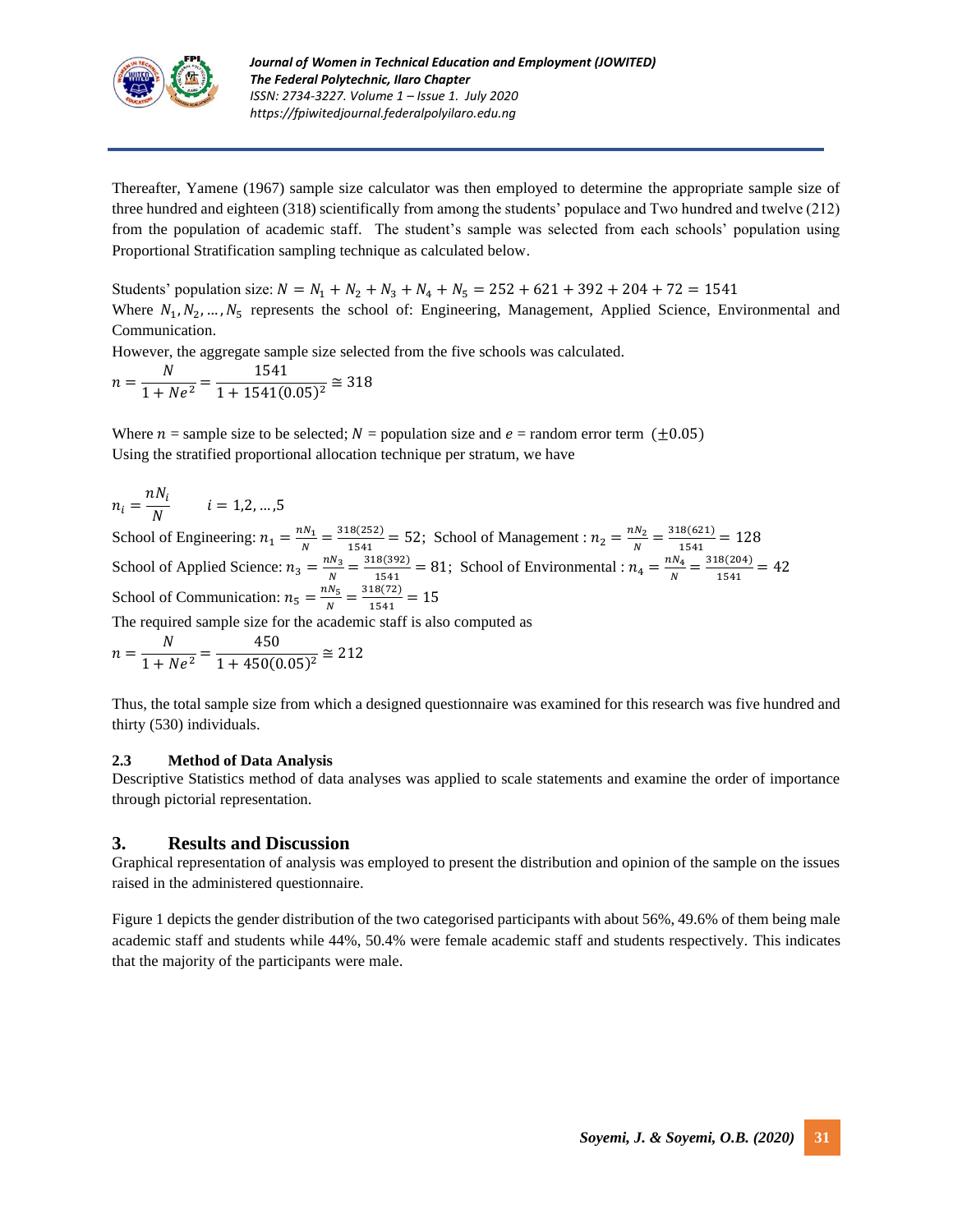

Thereafter, Yamene (1967) sample size calculator was then employed to determine the appropriate sample size of three hundred and eighteen (318) scientifically from among the students' populace and Two hundred and twelve (212) from the population of academic staff. The student's sample was selected from each schools' population using Proportional Stratification sampling technique as calculated below.

Students' population size:  $N = N_1 + N_2 + N_3 + N_4 + N_5 = 252 + 621 + 392 + 204 + 72 = 1541$ Where  $N_1, N_2, \ldots, N_5$  represents the school of: Engineering, Management, Applied Science, Environmental and Communication.

However, the aggregate sample size selected from the five schools was calculated.

 $n=\frac{N}{1+\lambda}$  $\frac{N}{1 + Ne^2} = \frac{1541}{1 + 1541(0)}$  $\frac{1241}{(0.05)^2} \approx 318$ 

Where  $n =$  sample size to be selected;  $N =$  population size and  $e =$  random error term ( $\pm 0.05$ ) Using the stratified proportional allocation technique per stratum, we have

$$
n_i = \frac{nN_i}{N} \qquad i = 1, 2, \dots, 5
$$

School of Engineering:  $n_1 = \frac{nN_1}{N}$  $\frac{N_1}{N} = \frac{318(252)}{1541}$  $\frac{1.8(252)}{1541}$  = 52; School of Management :  $n_2 = \frac{nN_2}{N}$  $\frac{N_2}{N} = \frac{318(621)}{1541}$  $\frac{1541}{1541} = 128$ School of Applied Science:  $n_3 = \frac{nN_3}{N}$  $\frac{3N_3}{N} = \frac{318(392)}{1541}$  $\frac{18(392)}{1541} = 81$ ; School of Environmental :  $n_4 = \frac{nN_4}{N}$  $\frac{SN_4}{N} = \frac{318(204)}{1541}$  $\frac{1541}{1541} = 42$ School of Communication:  $n_5 = \frac{nN_5}{N}$  $\frac{N_5}{N} = \frac{318(72)}{1541}$  $\frac{16(72)}{1541} = 15$ 

The required sample size for the academic staff is also computed as

$$
n = \frac{N}{1 + Ne^2} = \frac{450}{1 + 450(0.05)^2} \approx 212
$$

Thus, the total sample size from which a designed questionnaire was examined for this research was five hundred and thirty (530) individuals.

#### **2.3 Method of Data Analysis**

Descriptive Statistics method of data analyses was applied to scale statements and examine the order of importance through pictorial representation.

#### **3. Results and Discussion**

Graphical representation of analysis was employed to present the distribution and opinion of the sample on the issues raised in the administered questionnaire.

Figure 1 depicts the gender distribution of the two categorised participants with about 56%, 49.6% of them being male academic staff and students while 44%, 50.4% were female academic staff and students respectively. This indicates that the majority of the participants were male.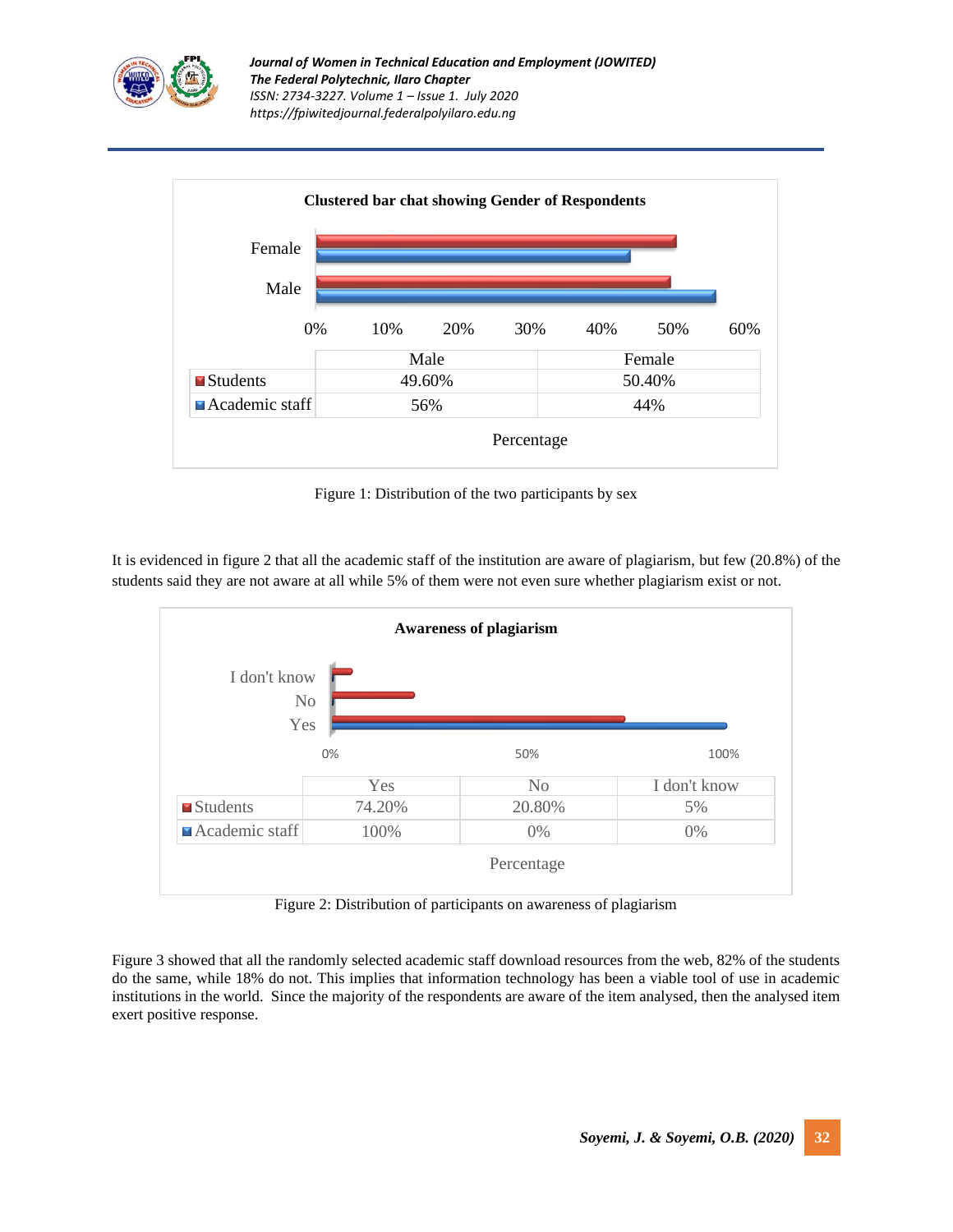



Figure 1: Distribution of the two participants by sex

It is evidenced in figure 2 that all the academic staff of the institution are aware of plagiarism, but few (20.8%) of the students said they are not aware at all while 5% of them were not even sure whether plagiarism exist or not.



Figure 2: Distribution of participants on awareness of plagiarism

Figure 3 showed that all the randomly selected academic staff download resources from the web, 82% of the students do the same, while 18% do not. This implies that information technology has been a viable tool of use in academic institutions in the world. Since the majority of the respondents are aware of the item analysed, then the analysed item exert positive response.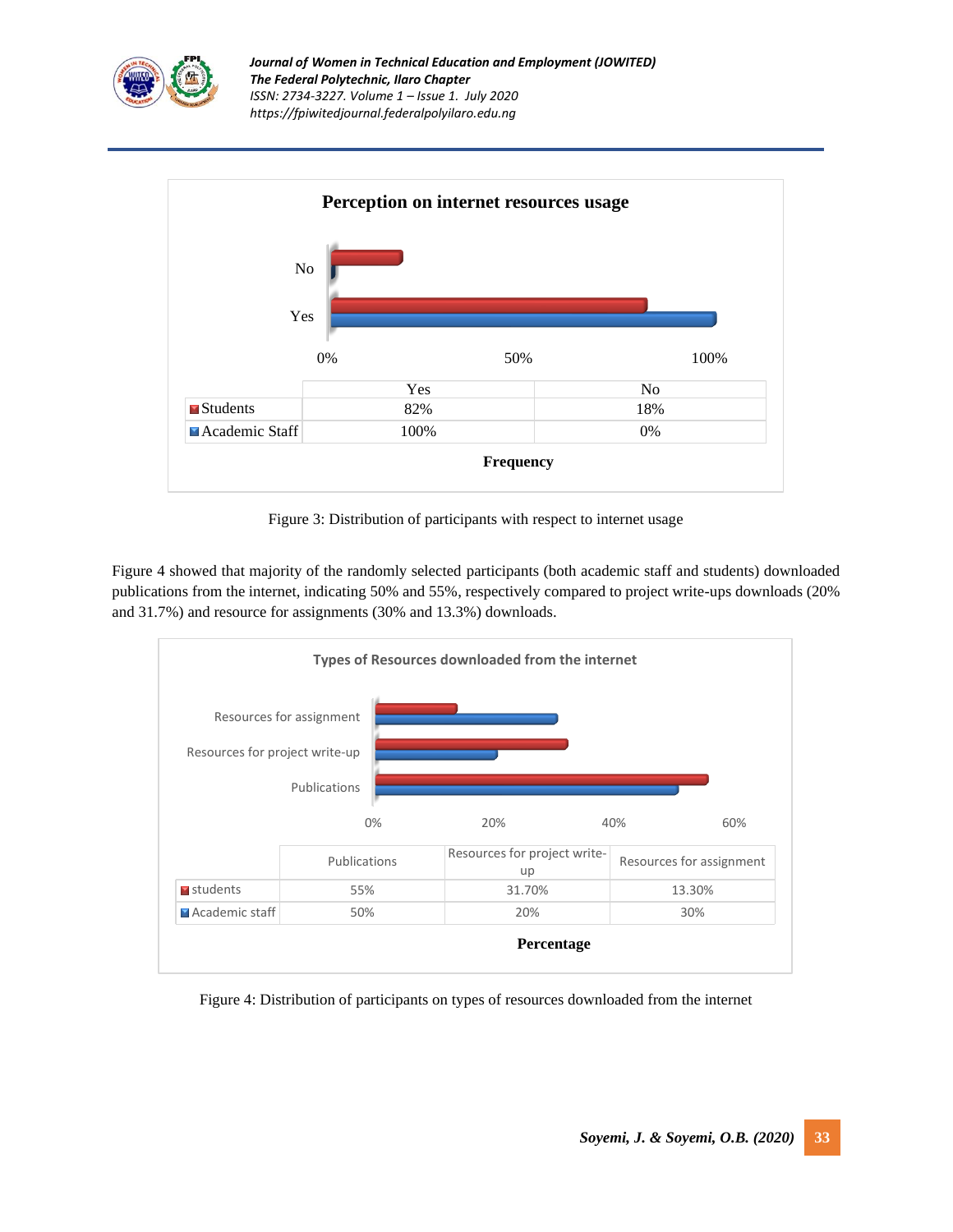



Figure 3: Distribution of participants with respect to internet usage

Figure 4 showed that majority of the randomly selected participants (both academic staff and students) downloaded publications from the internet, indicating 50% and 55%, respectively compared to project write-ups downloads (20% and 31.7%) and resource for assignments (30% and 13.3%) downloads.



Figure 4: Distribution of participants on types of resources downloaded from the internet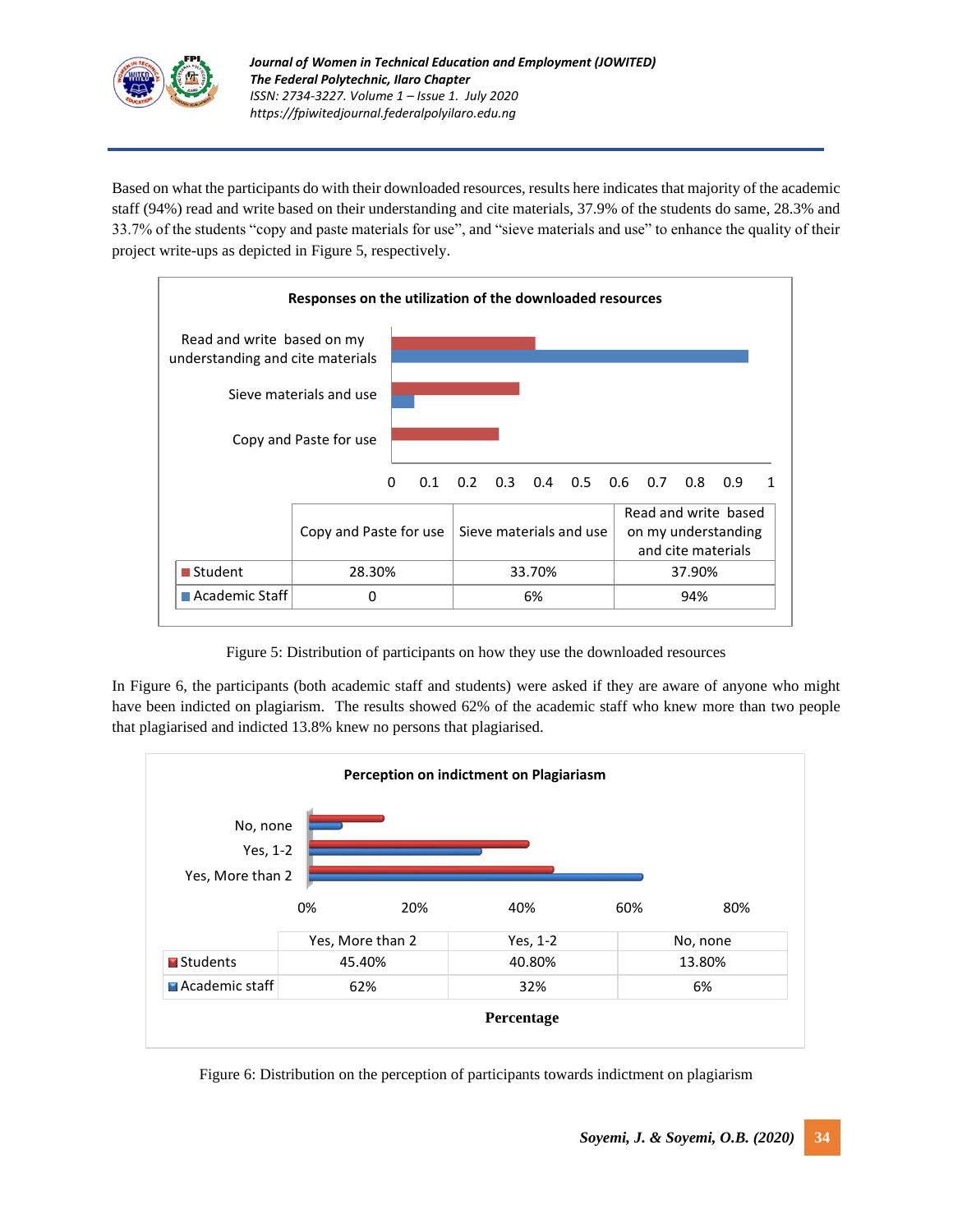

Based on what the participants do with their downloaded resources, results here indicates that majority of the academic staff (94%) read and write based on their understanding and cite materials, 37.9% of the students do same, 28.3% and 33.7% of the students "copy and paste materials for use", and "sieve materials and use" to enhance the quality of their project write-ups as depicted in Figure 5, respectively.



Figure 5: Distribution of participants on how they use the downloaded resources

In Figure 6, the participants (both academic staff and students) were asked if they are aware of anyone who might have been indicted on plagiarism. The results showed 62% of the academic staff who knew more than two people that plagiarised and indicted 13.8% knew no persons that plagiarised.



Figure 6: Distribution on the perception of participants towards indictment on plagiarism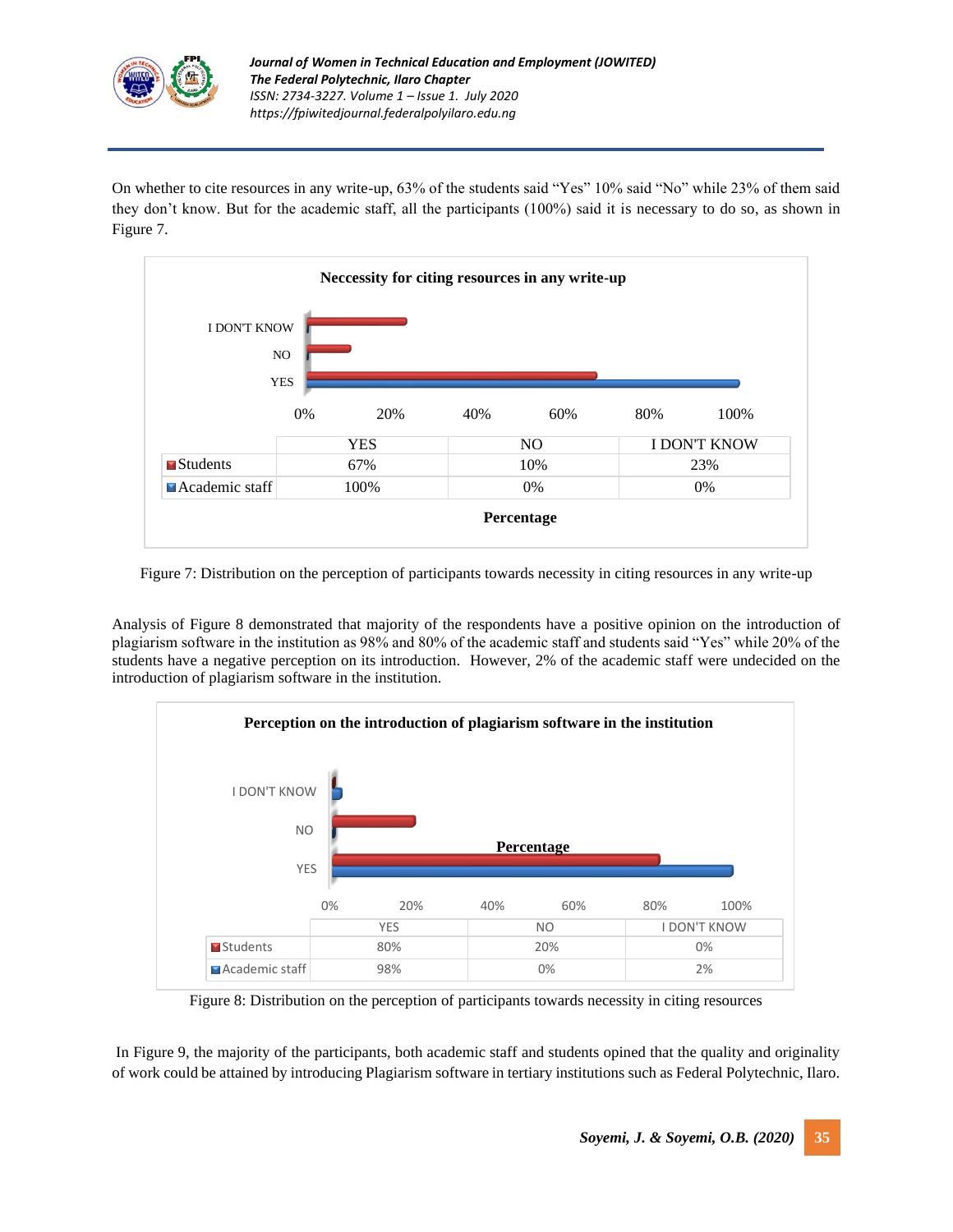

On whether to cite resources in any write-up, 63% of the students said "Yes" 10% said "No" while 23% of them said they don't know. But for the academic staff, all the participants (100%) said it is necessary to do so, as shown in Figure 7.



Figure 7: Distribution on the perception of participants towards necessity in citing resources in any write-up

Analysis of Figure 8 demonstrated that majority of the respondents have a positive opinion on the introduction of plagiarism software in the institution as 98% and 80% of the academic staff and students said "Yes" while 20% of the students have a negative perception on its introduction. However, 2% of the academic staff were undecided on the introduction of plagiarism software in the institution.



Figure 8: Distribution on the perception of participants towards necessity in citing resources

In Figure 9, the majority of the participants, both academic staff and students opined that the quality and originality of work could be attained by introducing Plagiarism software in tertiary institutions such as Federal Polytechnic, Ilaro.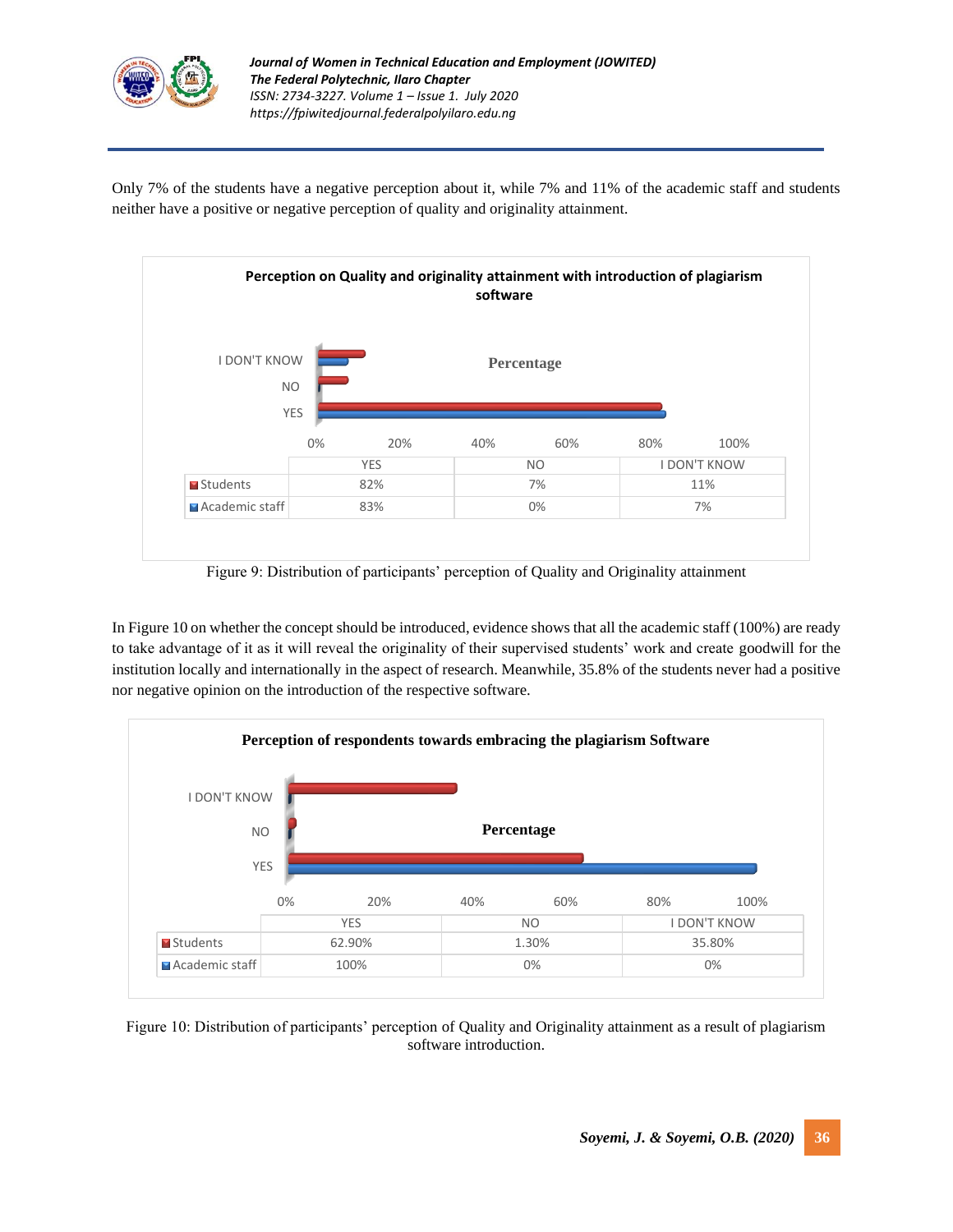

Only 7% of the students have a negative perception about it, while 7% and 11% of the academic staff and students neither have a positive or negative perception of quality and originality attainment.



Figure 9: Distribution of participants' perception of Quality and Originality attainment

In Figure 10 on whether the concept should be introduced, evidence shows that all the academic staff (100%) are ready to take advantage of it as it will reveal the originality of their supervised students' work and create goodwill for the institution locally and internationally in the aspect of research. Meanwhile, 35.8% of the students never had a positive nor negative opinion on the introduction of the respective software.



Figure 10: Distribution of participants' perception of Quality and Originality attainment as a result of plagiarism software introduction.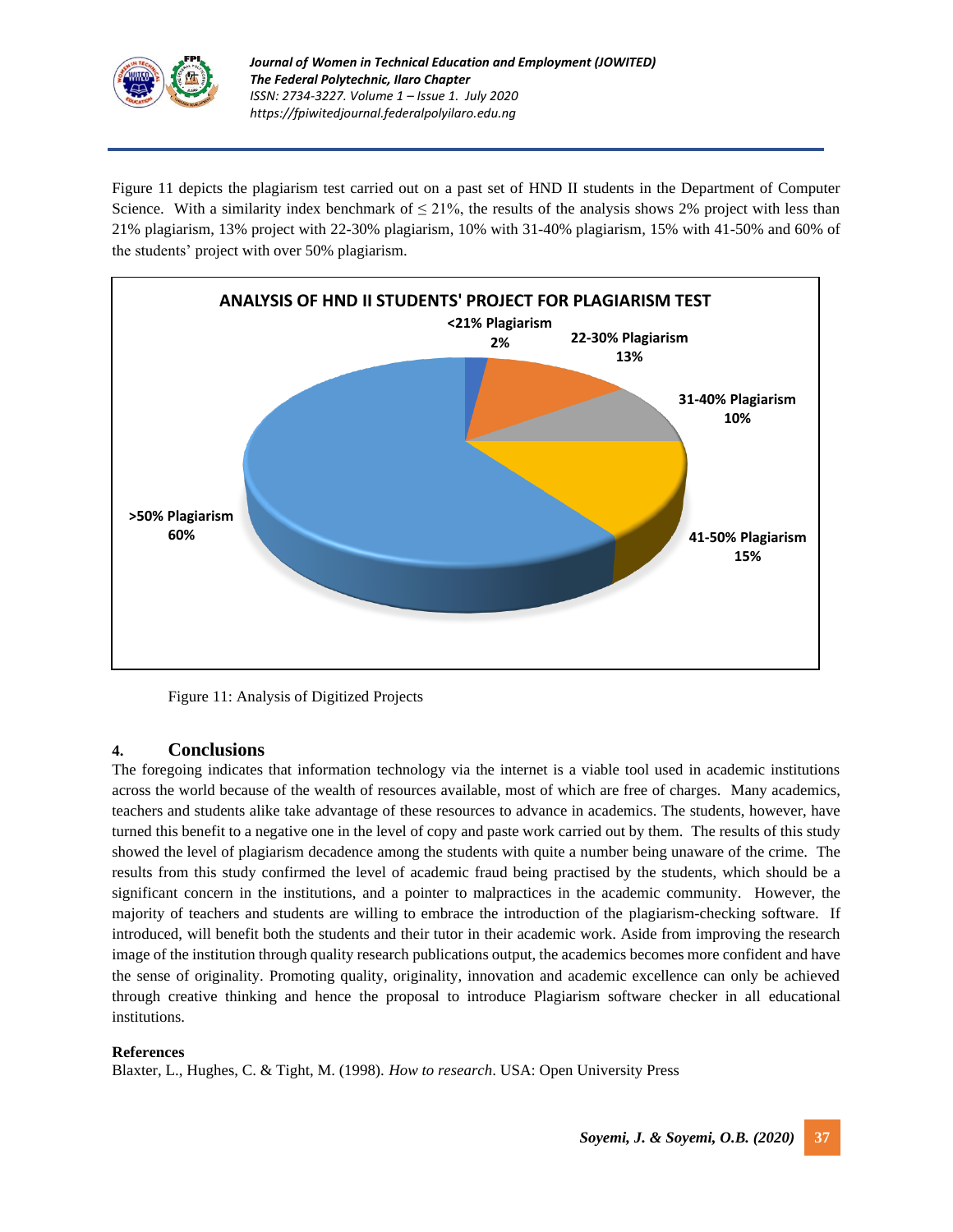

Figure 11 depicts the plagiarism test carried out on a past set of HND II students in the Department of Computer Science. With a similarity index benchmark of  $\leq 21\%$ , the results of the analysis shows 2% project with less than 21% plagiarism, 13% project with 22-30% plagiarism, 10% with 31-40% plagiarism, 15% with 41-50% and 60% of the students' project with over 50% plagiarism.



Figure 11: Analysis of Digitized Projects

# **4. Conclusions**

The foregoing indicates that information technology via the internet is a viable tool used in academic institutions across the world because of the wealth of resources available, most of which are free of charges. Many academics, teachers and students alike take advantage of these resources to advance in academics. The students, however, have turned this benefit to a negative one in the level of copy and paste work carried out by them. The results of this study showed the level of plagiarism decadence among the students with quite a number being unaware of the crime. The results from this study confirmed the level of academic fraud being practised by the students, which should be a significant concern in the institutions, and a pointer to malpractices in the academic community. However, the majority of teachers and students are willing to embrace the introduction of the plagiarism-checking software. If introduced, will benefit both the students and their tutor in their academic work. Aside from improving the research image of the institution through quality research publications output, the academics becomes more confident and have the sense of originality. Promoting quality, originality, innovation and academic excellence can only be achieved through creative thinking and hence the proposal to introduce Plagiarism software checker in all educational institutions.

## **References**

Blaxter, L., Hughes, C. & Tight, M. (1998). *How to research*. USA: Open University Press